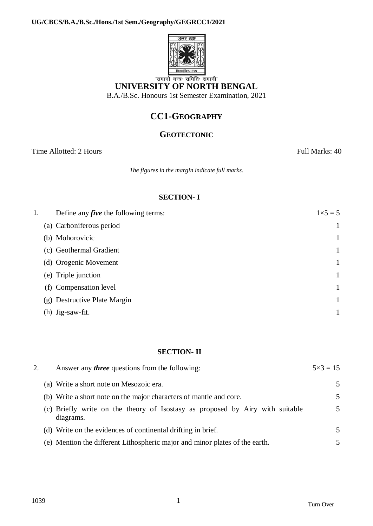

# **UNIVERSITY OF NORTH BENGAL**

B.A./B.Sc. Honours 1st Semester Examination, 2021

# **CC1-GEOGRAPHY**

### **GEOTECTONIC**

Time Allotted: 2 Hours Full Marks: 40

*The figures in the margin indicate full marks.*

### **SECTION- I**

| 1. | Define any <i>five</i> the following terms: | $1 \times 5 = 5$ |
|----|---------------------------------------------|------------------|
|    | (a) Carboniferous period                    |                  |
|    | (b) Mohorovicic                             |                  |
|    | (c) Geothermal Gradient                     |                  |
|    | (d) Orogenic Movement                       |                  |
|    | (e) Triple junction                         |                  |
|    | (f) Compensation level                      |                  |
|    | (g) Destructive Plate Margin                |                  |
|    | Jig-saw-fit.<br>(h)                         |                  |

#### **SECTION- II**

| 2. | Answer any <i>three</i> questions from the following:                                      | $5 \times 3 = 15$ |
|----|--------------------------------------------------------------------------------------------|-------------------|
|    | (a) Write a short note on Mesozoic era.                                                    | .5                |
|    | (b) Write a short note on the major characters of mantle and core.                         | 5                 |
|    | (c) Briefly write on the theory of Isostasy as proposed by Airy with suitable<br>diagrams. | 5                 |
|    | (d) Write on the evidences of continental drifting in brief.                               | $\overline{5}$    |
|    | (e) Mention the different Lithospheric major and minor plates of the earth.                | 5                 |